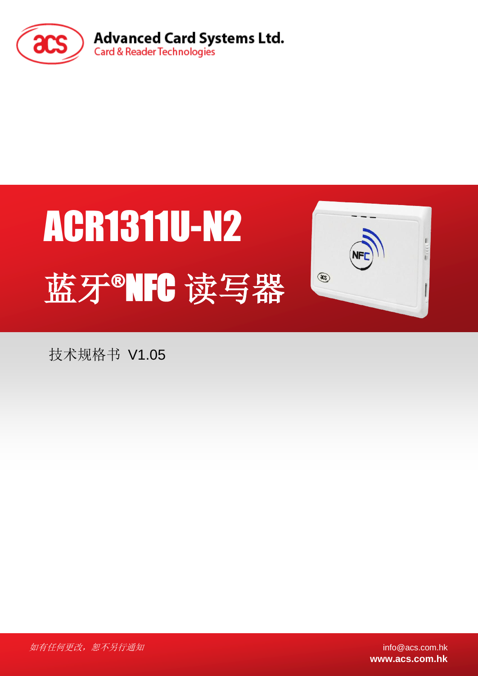

# ACR1311U-N2 蓝牙®NFC 读写器



技术规格书 V1.05

如有任何更改, 恕不另行通知 info@acs.com.hk

**www.acs.com.hk**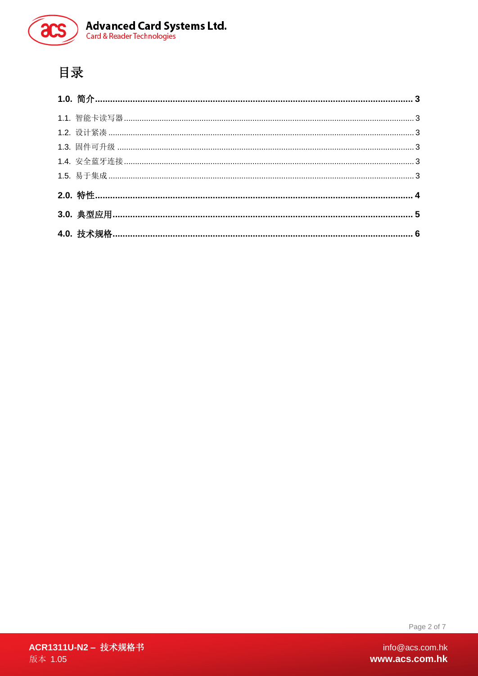

# 目录

Page 2 of 7

ACR1311U-N2 - 技术规格书 版本 1.05

info@acs.com.hk www.acs.com.hk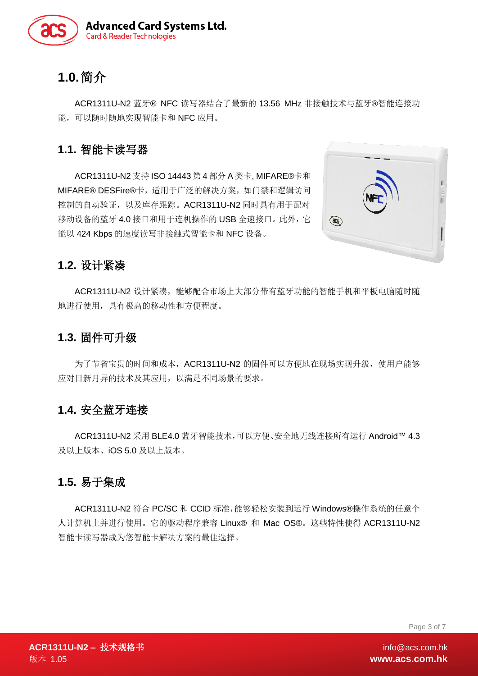

# <span id="page-2-0"></span>**1.0.**简介

ACR1311U-N2 蓝牙® NFC 读写器结合了最新的 13.56 MHz 非接触技术与蓝牙®智能连接功 能,可以随时随地实现智能卡和 NFC 应用。

## <span id="page-2-1"></span>**1.1.** 智能卡读写器

ACR1311U-N2 支持 ISO 14443 第 4 部分 A 类卡, MIFARE®卡和 MIFARE® DESFire®卡,适用于广泛的解决方案,如门禁和逻辑访问 控制的自动验证,以及库存跟踪。ACR1311U-N2 同时具有用于配对 移动设备的蓝牙 4.0 接口和用于连机操作的 USB 全速接口。此外,它 能以 424 Kbps 的速度读写非接触式智能卡和 NFC 设备。



## <span id="page-2-2"></span>**1.2.** 设计紧凑

ACR1311U-N2 设计紧凑,能够配合市场上大部分带有蓝牙功能的智能手机和平板电脑随时随 地进行使用,具有极高的移动性和方便程度。

## <span id="page-2-3"></span>**1.3.** 固件可升级

为了节省宝贵的时间和成本,ACR1311U-N2 的固件可以方便地在现场实现升级,使用户能够 应对日新月异的技术及其应用,以满足不同场景的要求。

## <span id="page-2-4"></span>**1.4.** 安全蓝牙连接

ACR1311U-N2 采用 BLE4.0 蓝牙智能技术,可以方便、安全地无线连接所有运行 Android™ 4.3 及以上版本、iOS 5.0 及以上版本。

## <span id="page-2-5"></span>**1.5.** 易于集成

ACR1311U-N2 符合 PC/SC 和 CCID 标准,能够轻松安装到运行 Windows®操作系统的任意个 人计算机上并进行使用。它的驱动程序兼容 Linux® 和 Mac OS®。这些特性使得 ACR1311U-N2 智能卡读写器成为您智能卡解决方案的最佳选择。

Page 3 of 7

**ACR1311U-N2 - 技术规格书** 版本 1.05 <mark>www.acs.com.hk</mark>

 $info@acs.com.hk$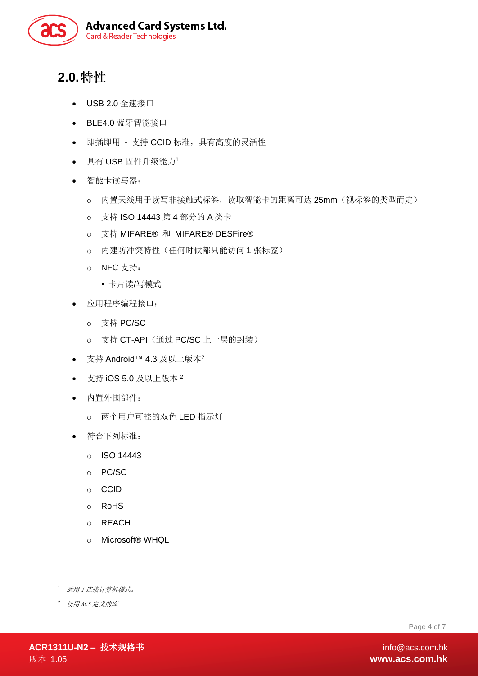

# <span id="page-3-0"></span>**2.0.**特性

- USB 2.0 全速接口
- BLE4.0 蓝牙智能接口
- 即插即用 支持 CCID 标准,具有高度的灵活性
- 具有 USB 固件升级能力<sup>1</sup>
- 智能卡读写器:
	- o 内置天线用于读写非接触式标签,读取智能卡的距离可达 25mm(视标签的类型而定)
	- o 支持 ISO 14443 第 4 部分的 A 类卡
	- o 支持 MIFARE® 和 MIFARE® DESFire®
	- o 内建防冲突特性(任何时候都只能访问 1 张标签)
	- o NFC 支持:
		- 卡片读/写模式
- 应用程序编程接口:
	- o 支持 PC/SC
	- o 支持 CT-API (通过 PC/SC 上一层的封装)
- 支持 Android™ 4.3 及以上版本<sup>2</sup>
- 支持 iOS 5.0 及以上版本  $^2$
- 内置外围部件:
	- o 两个用户可控的双色 LED 指示灯
- 符合下列标准:
	- o ISO 14443
	- o PC/SC
	- o CCID
	- o RoHS
	- o REACH
	- o Microsoft® WHQL

*2* 使用 ACS 定义的库

1

Page 4 of 7

*<sup>1</sup>* 适用于连接计算机模式。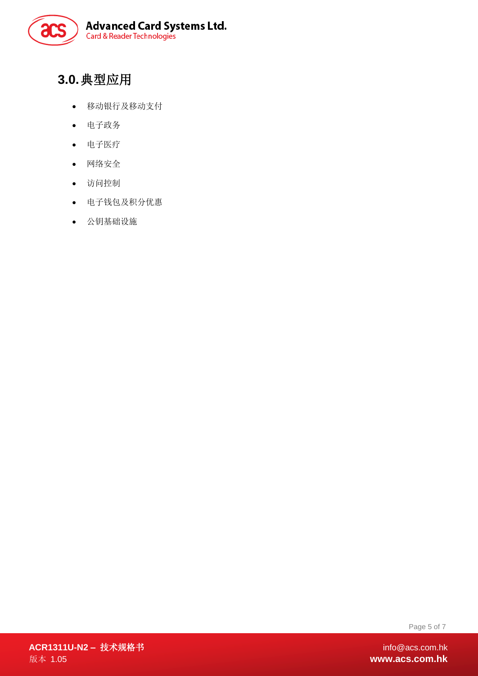

# <span id="page-4-0"></span>**3.0.**典型应用

- 移动银行及移动支付
- 电子政务
- 电子医疗
- 网络安全
- 访问控制
- 电子钱包及积分优惠
- 公钥基础设施

Page 5 of 7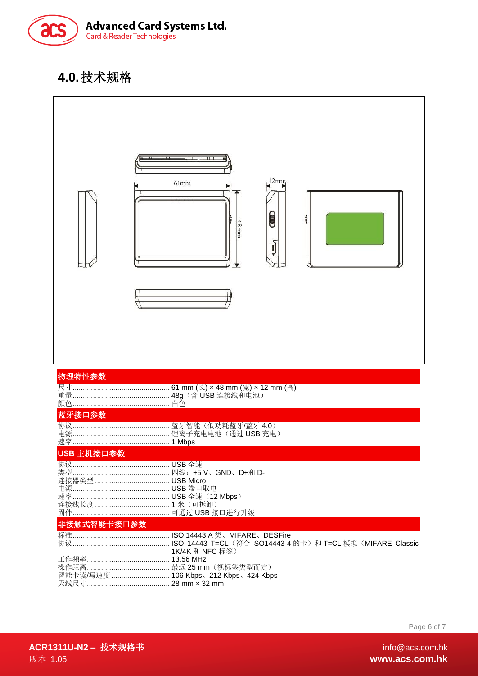

# <span id="page-5-0"></span>**4.0.**技术规格



Page 6 of 7